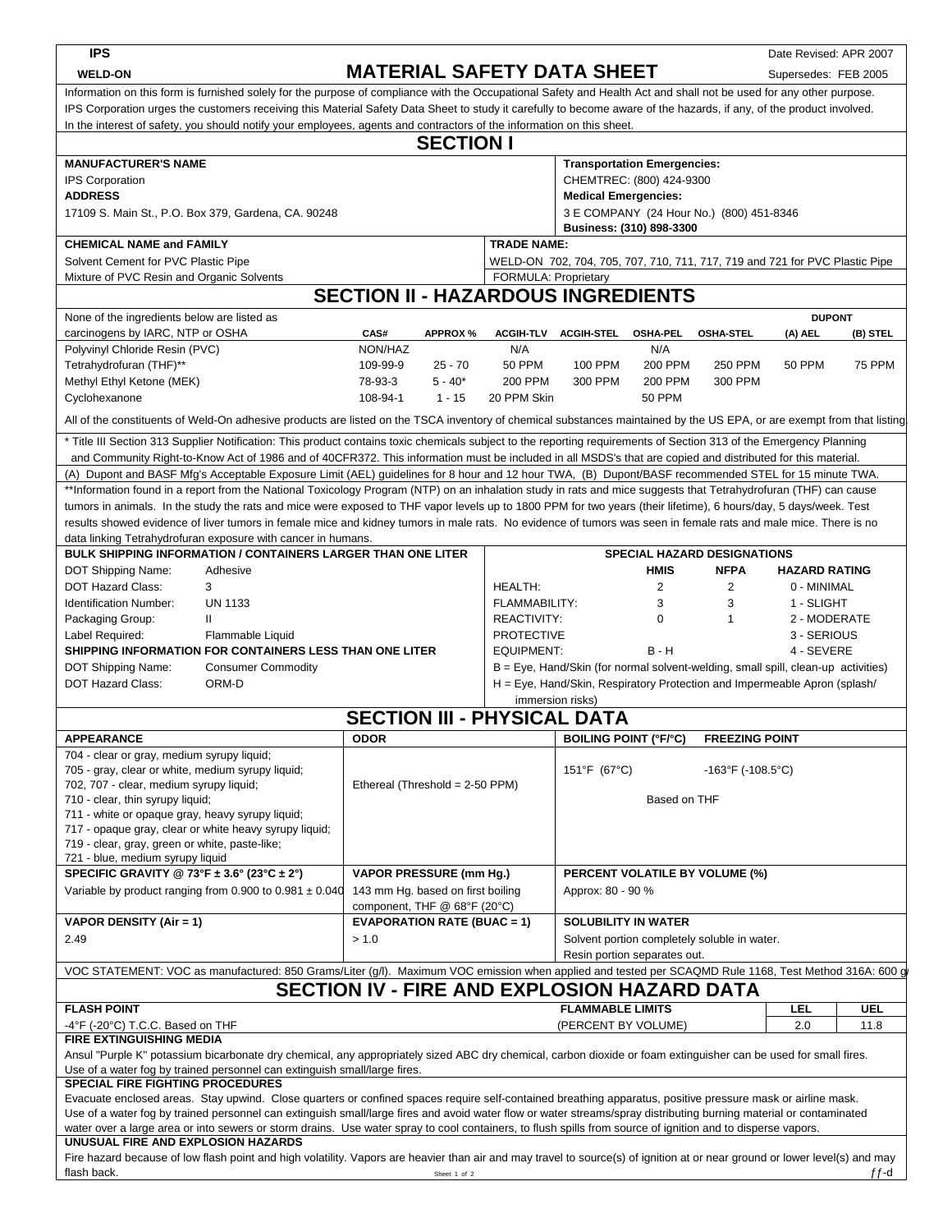| <b>IPS</b>                                                                                                                                                                                                                                                                                                                                  |                                                                                                                                                                        |                                                                                                            |                                    |                                                                                                                                                                      |                                                                         |                              |                                              | Date Revised: APR 2007 |               |  |  |  |  |
|---------------------------------------------------------------------------------------------------------------------------------------------------------------------------------------------------------------------------------------------------------------------------------------------------------------------------------------------|------------------------------------------------------------------------------------------------------------------------------------------------------------------------|------------------------------------------------------------------------------------------------------------|------------------------------------|----------------------------------------------------------------------------------------------------------------------------------------------------------------------|-------------------------------------------------------------------------|------------------------------|----------------------------------------------|------------------------|---------------|--|--|--|--|
| <b>WELD-ON</b>                                                                                                                                                                                                                                                                                                                              |                                                                                                                                                                        |                                                                                                            |                                    |                                                                                                                                                                      | <b>MATERIAL SAFETY DATA SHEET</b>                                       |                              |                                              | Supersedes: FEB 2005   |               |  |  |  |  |
|                                                                                                                                                                                                                                                                                                                                             |                                                                                                                                                                        |                                                                                                            |                                    |                                                                                                                                                                      |                                                                         |                              |                                              |                        |               |  |  |  |  |
| Information on this form is furnished solely for the purpose of compliance with the Occupational Safety and Health Act and shall not be used for any other purpose.<br>IPS Corporation urges the customers receiving this Material Safety Data Sheet to study it carefully to become aware of the hazards, if any, of the product involved. |                                                                                                                                                                        |                                                                                                            |                                    |                                                                                                                                                                      |                                                                         |                              |                                              |                        |               |  |  |  |  |
| In the interest of safety, you should notify your employees, agents and contractors of the information on this sheet.                                                                                                                                                                                                                       |                                                                                                                                                                        |                                                                                                            |                                    |                                                                                                                                                                      |                                                                         |                              |                                              |                        |               |  |  |  |  |
| <b>SECTION I</b>                                                                                                                                                                                                                                                                                                                            |                                                                                                                                                                        |                                                                                                            |                                    |                                                                                                                                                                      |                                                                         |                              |                                              |                        |               |  |  |  |  |
|                                                                                                                                                                                                                                                                                                                                             |                                                                                                                                                                        |                                                                                                            |                                    |                                                                                                                                                                      |                                                                         |                              |                                              |                        |               |  |  |  |  |
|                                                                                                                                                                                                                                                                                                                                             | <b>MANUFACTURER'S NAME</b><br><b>Transportation Emergencies:</b>                                                                                                       |                                                                                                            |                                    |                                                                                                                                                                      |                                                                         |                              |                                              |                        |               |  |  |  |  |
| <b>IPS Corporation</b>                                                                                                                                                                                                                                                                                                                      | CHEMTREC: (800) 424-9300                                                                                                                                               |                                                                                                            |                                    |                                                                                                                                                                      |                                                                         |                              |                                              |                        |               |  |  |  |  |
| <b>ADDRESS</b><br>17109 S. Main St., P.O. Box 379, Gardena, CA. 90248                                                                                                                                                                                                                                                                       |                                                                                                                                                                        |                                                                                                            |                                    |                                                                                                                                                                      | <b>Medical Emergencies:</b><br>3 E COMPANY (24 Hour No.) (800) 451-8346 |                              |                                              |                        |               |  |  |  |  |
|                                                                                                                                                                                                                                                                                                                                             |                                                                                                                                                                        |                                                                                                            |                                    |                                                                                                                                                                      |                                                                         |                              |                                              |                        |               |  |  |  |  |
| Business: (310) 898-3300<br><b>TRADE NAME:</b><br><b>CHEMICAL NAME and FAMILY</b>                                                                                                                                                                                                                                                           |                                                                                                                                                                        |                                                                                                            |                                    |                                                                                                                                                                      |                                                                         |                              |                                              |                        |               |  |  |  |  |
| Solvent Cement for PVC Plastic Pipe                                                                                                                                                                                                                                                                                                         |                                                                                                                                                                        |                                                                                                            |                                    |                                                                                                                                                                      |                                                                         |                              |                                              |                        |               |  |  |  |  |
| Mixture of PVC Resin and Organic Solvents                                                                                                                                                                                                                                                                                                   |                                                                                                                                                                        | WELD-ON 702, 704, 705, 707, 710, 711, 717, 719 and 721 for PVC Plastic Pipe<br><b>FORMULA: Proprietary</b> |                                    |                                                                                                                                                                      |                                                                         |                              |                                              |                        |               |  |  |  |  |
| <b>SECTION II - HAZARDOUS INGREDIENTS</b>                                                                                                                                                                                                                                                                                                   |                                                                                                                                                                        |                                                                                                            |                                    |                                                                                                                                                                      |                                                                         |                              |                                              |                        |               |  |  |  |  |
| None of the ingredients below are listed as<br><b>DUPONT</b>                                                                                                                                                                                                                                                                                |                                                                                                                                                                        |                                                                                                            |                                    |                                                                                                                                                                      |                                                                         |                              |                                              |                        |               |  |  |  |  |
|                                                                                                                                                                                                                                                                                                                                             |                                                                                                                                                                        |                                                                                                            |                                    |                                                                                                                                                                      |                                                                         |                              |                                              |                        |               |  |  |  |  |
| carcinogens by IARC, NTP or OSHA                                                                                                                                                                                                                                                                                                            |                                                                                                                                                                        | CAS#                                                                                                       | <b>APPROX %</b>                    |                                                                                                                                                                      | ACGIH-TLV ACGIH-STEL                                                    | <b>OSHA-PEL</b>              | <b>OSHA-STEL</b>                             | (A) AEL                | (B) STEL      |  |  |  |  |
| Polyvinyl Chloride Resin (PVC)                                                                                                                                                                                                                                                                                                              |                                                                                                                                                                        | NON/HAZ                                                                                                    |                                    | N/A                                                                                                                                                                  |                                                                         | N/A                          |                                              |                        |               |  |  |  |  |
| Tetrahydrofuran (THF)**                                                                                                                                                                                                                                                                                                                     |                                                                                                                                                                        | 109-99-9                                                                                                   | $25 - 70$                          | <b>50 PPM</b>                                                                                                                                                        | 100 PPM                                                                 | 200 PPM                      | 250 PPM                                      | 50 PPM                 | <b>75 PPM</b> |  |  |  |  |
| Methyl Ethyl Ketone (MEK)                                                                                                                                                                                                                                                                                                                   |                                                                                                                                                                        | 78-93-3                                                                                                    | $5 - 40*$                          | 200 PPM                                                                                                                                                              | 300 PPM                                                                 | 200 PPM                      | 300 PPM                                      |                        |               |  |  |  |  |
| Cyclohexanone                                                                                                                                                                                                                                                                                                                               |                                                                                                                                                                        | 108-94-1                                                                                                   | $1 - 15$                           | 20 PPM Skin                                                                                                                                                          |                                                                         | <b>50 PPM</b>                |                                              |                        |               |  |  |  |  |
|                                                                                                                                                                                                                                                                                                                                             | All of the constituents of Weld-On adhesive products are listed on the TSCA inventory of chemical substances maintained by the US EPA, or are exempt from that listing |                                                                                                            |                                    |                                                                                                                                                                      |                                                                         |                              |                                              |                        |               |  |  |  |  |
|                                                                                                                                                                                                                                                                                                                                             | * Title III Section 313 Supplier Notification: This product contains toxic chemicals subject to the reporting requirements of Section 313 of the Emergency Planning    |                                                                                                            |                                    |                                                                                                                                                                      |                                                                         |                              |                                              |                        |               |  |  |  |  |
|                                                                                                                                                                                                                                                                                                                                             | and Community Right-to-Know Act of 1986 and of 40CFR372. This information must be included in all MSDS's that are copied and distributed for this material.            |                                                                                                            |                                    |                                                                                                                                                                      |                                                                         |                              |                                              |                        |               |  |  |  |  |
|                                                                                                                                                                                                                                                                                                                                             | (A) Dupont and BASF Mfg's Acceptable Exposure Limit (AEL) guidelines for 8 hour and 12 hour TWA, (B) Dupont/BASF recommended STEL for 15 minute TWA.                   |                                                                                                            |                                    |                                                                                                                                                                      |                                                                         |                              |                                              |                        |               |  |  |  |  |
|                                                                                                                                                                                                                                                                                                                                             | **Information found in a report from the National Toxicology Program (NTP) on an inhalation study in rats and mice suggests that Tetrahydrofuran (THF) can cause       |                                                                                                            |                                    |                                                                                                                                                                      |                                                                         |                              |                                              |                        |               |  |  |  |  |
|                                                                                                                                                                                                                                                                                                                                             | tumors in animals. In the study the rats and mice were exposed to THF vapor levels up to 1800 PPM for two years (their lifetime), 6 hours/day, 5 days/week. Test       |                                                                                                            |                                    |                                                                                                                                                                      |                                                                         |                              |                                              |                        |               |  |  |  |  |
|                                                                                                                                                                                                                                                                                                                                             | results showed evidence of liver tumors in female mice and kidney tumors in male rats. No evidence of tumors was seen in female rats and male mice. There is no        |                                                                                                            |                                    |                                                                                                                                                                      |                                                                         |                              |                                              |                        |               |  |  |  |  |
|                                                                                                                                                                                                                                                                                                                                             | data linking Tetrahydrofuran exposure with cancer in humans.                                                                                                           |                                                                                                            |                                    |                                                                                                                                                                      |                                                                         |                              |                                              |                        |               |  |  |  |  |
|                                                                                                                                                                                                                                                                                                                                             | <b>BULK SHIPPING INFORMATION / CONTAINERS LARGER THAN ONE LITER</b>                                                                                                    |                                                                                                            |                                    |                                                                                                                                                                      |                                                                         |                              | <b>SPECIAL HAZARD DESIGNATIONS</b>           |                        |               |  |  |  |  |
| DOT Shipping Name:                                                                                                                                                                                                                                                                                                                          | Adhesive                                                                                                                                                               |                                                                                                            |                                    |                                                                                                                                                                      |                                                                         | <b>HMIS</b>                  | <b>NFPA</b>                                  | <b>HAZARD RATING</b>   |               |  |  |  |  |
| <b>DOT Hazard Class:</b>                                                                                                                                                                                                                                                                                                                    | 3                                                                                                                                                                      |                                                                                                            |                                    | <b>HEALTH:</b>                                                                                                                                                       |                                                                         | 2                            | 2                                            | 0 - MINIMAL            |               |  |  |  |  |
| <b>Identification Number:</b>                                                                                                                                                                                                                                                                                                               | <b>UN 1133</b>                                                                                                                                                         |                                                                                                            |                                    | <b>FLAMMABILITY:</b>                                                                                                                                                 |                                                                         | 3                            | 3                                            | 1 - SLIGHT             |               |  |  |  |  |
|                                                                                                                                                                                                                                                                                                                                             |                                                                                                                                                                        |                                                                                                            |                                    |                                                                                                                                                                      |                                                                         | $\mathbf 0$                  | $\mathbf{1}$                                 |                        |               |  |  |  |  |
| Packaging Group:                                                                                                                                                                                                                                                                                                                            | Ш                                                                                                                                                                      |                                                                                                            |                                    | REACTIVITY:                                                                                                                                                          |                                                                         |                              |                                              | 2 - MODERATE           |               |  |  |  |  |
| Label Required:                                                                                                                                                                                                                                                                                                                             | Flammable Liquid<br>SHIPPING INFORMATION FOR CONTAINERS LESS THAN ONE LITER                                                                                            |                                                                                                            |                                    | <b>PROTECTIVE</b><br><b>EQUIPMENT:</b>                                                                                                                               |                                                                         | $B - H$                      |                                              | 3 - SERIOUS            |               |  |  |  |  |
|                                                                                                                                                                                                                                                                                                                                             |                                                                                                                                                                        |                                                                                                            |                                    |                                                                                                                                                                      | 4 - SEVERE                                                              |                              |                                              |                        |               |  |  |  |  |
| DOT Shipping Name:<br><b>DOT Hazard Class:</b>                                                                                                                                                                                                                                                                                              | <b>Consumer Commodity</b>                                                                                                                                              |                                                                                                            |                                    | $B = Eye$ , Hand/Skin (for normal solvent-welding, small spill, clean-up activities)<br>$H = Eye$ , Hand/Skin, Respiratory Protection and Impermeable Apron (splash/ |                                                                         |                              |                                              |                        |               |  |  |  |  |
|                                                                                                                                                                                                                                                                                                                                             | ORM-D                                                                                                                                                                  |                                                                                                            |                                    |                                                                                                                                                                      | immersion risks)                                                        |                              |                                              |                        |               |  |  |  |  |
|                                                                                                                                                                                                                                                                                                                                             |                                                                                                                                                                        |                                                                                                            |                                    |                                                                                                                                                                      | <b>SECTION III - PHYSICAL DATA</b>                                      |                              |                                              |                        |               |  |  |  |  |
|                                                                                                                                                                                                                                                                                                                                             |                                                                                                                                                                        |                                                                                                            |                                    |                                                                                                                                                                      |                                                                         |                              |                                              |                        |               |  |  |  |  |
| <b>APPEARANCE</b>                                                                                                                                                                                                                                                                                                                           |                                                                                                                                                                        | <b>ODOR</b>                                                                                                |                                    |                                                                                                                                                                      |                                                                         | <b>BOILING POINT (°F/°C)</b> | <b>FREEZING POINT</b>                        |                        |               |  |  |  |  |
| 704 - clear or gray, medium syrupy liquid;                                                                                                                                                                                                                                                                                                  |                                                                                                                                                                        |                                                                                                            |                                    |                                                                                                                                                                      |                                                                         |                              |                                              |                        |               |  |  |  |  |
| 705 - gray, clear or white, medium syrupy liquid;                                                                                                                                                                                                                                                                                           |                                                                                                                                                                        |                                                                                                            |                                    |                                                                                                                                                                      | 151°F (67°C)                                                            |                              | $-163^{\circ}F$ (-108.5°C)                   |                        |               |  |  |  |  |
| 702, 707 - clear, medium syrupy liquid;                                                                                                                                                                                                                                                                                                     |                                                                                                                                                                        |                                                                                                            | Ethereal (Threshold = 2-50 PPM)    |                                                                                                                                                                      |                                                                         |                              |                                              |                        |               |  |  |  |  |
| 710 - clear, thin syrupy liquid;                                                                                                                                                                                                                                                                                                            |                                                                                                                                                                        |                                                                                                            |                                    |                                                                                                                                                                      | Based on THF                                                            |                              |                                              |                        |               |  |  |  |  |
| 711 - white or opaque gray, heavy syrupy liquid;                                                                                                                                                                                                                                                                                            | 717 - opaque gray, clear or white heavy syrupy liquid;                                                                                                                 |                                                                                                            |                                    |                                                                                                                                                                      |                                                                         |                              |                                              |                        |               |  |  |  |  |
| 719 - clear, gray, green or white, paste-like;                                                                                                                                                                                                                                                                                              |                                                                                                                                                                        |                                                                                                            |                                    |                                                                                                                                                                      |                                                                         |                              |                                              |                        |               |  |  |  |  |
| 721 - blue, medium syrupy liquid                                                                                                                                                                                                                                                                                                            |                                                                                                                                                                        |                                                                                                            |                                    |                                                                                                                                                                      |                                                                         |                              |                                              |                        |               |  |  |  |  |
| SPECIFIC GRAVITY @ 73°F $\pm$ 3.6° (23°C $\pm$ 2°)                                                                                                                                                                                                                                                                                          |                                                                                                                                                                        |                                                                                                            | VAPOR PRESSURE (mm Hg.)            |                                                                                                                                                                      |                                                                         |                              | <b>PERCENT VOLATILE BY VOLUME (%)</b>        |                        |               |  |  |  |  |
| Variable by product ranging from 0.900 to 0.981 $\pm$ 0.040                                                                                                                                                                                                                                                                                 |                                                                                                                                                                        | 143 mm Hg. based on first boiling                                                                          |                                    |                                                                                                                                                                      | Approx: 80 - 90 %                                                       |                              |                                              |                        |               |  |  |  |  |
|                                                                                                                                                                                                                                                                                                                                             |                                                                                                                                                                        |                                                                                                            | component, THF @ 68°F (20°C)       |                                                                                                                                                                      |                                                                         |                              |                                              |                        |               |  |  |  |  |
| VAPOR DENSITY (Air = 1)                                                                                                                                                                                                                                                                                                                     |                                                                                                                                                                        |                                                                                                            | <b>EVAPORATION RATE (BUAC = 1)</b> |                                                                                                                                                                      |                                                                         | <b>SOLUBILITY IN WATER</b>   |                                              |                        |               |  |  |  |  |
| 2.49                                                                                                                                                                                                                                                                                                                                        |                                                                                                                                                                        | > 1.0                                                                                                      |                                    |                                                                                                                                                                      |                                                                         |                              | Solvent portion completely soluble in water. |                        |               |  |  |  |  |
|                                                                                                                                                                                                                                                                                                                                             |                                                                                                                                                                        |                                                                                                            |                                    | Resin portion separates out.                                                                                                                                         |                                                                         |                              |                                              |                        |               |  |  |  |  |
|                                                                                                                                                                                                                                                                                                                                             | VOC STATEMENT: VOC as manufactured: 850 Grams/Liter (g/l). Maximum VOC emission when applied and tested per SCAQMD Rule 1168, Test Method 316A: 600 g                  |                                                                                                            |                                    |                                                                                                                                                                      |                                                                         |                              |                                              |                        |               |  |  |  |  |
|                                                                                                                                                                                                                                                                                                                                             |                                                                                                                                                                        |                                                                                                            |                                    |                                                                                                                                                                      | <b>SECTION IV - FIRE AND EXPLOSION HAZARD DATA</b>                      |                              |                                              |                        |               |  |  |  |  |
| <b>FLASH POINT</b>                                                                                                                                                                                                                                                                                                                          |                                                                                                                                                                        |                                                                                                            |                                    |                                                                                                                                                                      | <b>FLAMMABLE LIMITS</b>                                                 |                              |                                              | LEL                    | <b>UEL</b>    |  |  |  |  |
| -4°F (-20°C) T.C.C. Based on THF                                                                                                                                                                                                                                                                                                            |                                                                                                                                                                        |                                                                                                            |                                    |                                                                                                                                                                      | (PERCENT BY VOLUME)                                                     |                              |                                              | 2.0                    | 11.8          |  |  |  |  |
| <b>FIRE EXTINGUISHING MEDIA</b>                                                                                                                                                                                                                                                                                                             |                                                                                                                                                                        |                                                                                                            |                                    |                                                                                                                                                                      |                                                                         |                              |                                              |                        |               |  |  |  |  |
|                                                                                                                                                                                                                                                                                                                                             | Ansul "Purple K" potassium bicarbonate dry chemical, any appropriately sized ABC dry chemical, carbon dioxide or foam extinguisher can be used for small fires.        |                                                                                                            |                                    |                                                                                                                                                                      |                                                                         |                              |                                              |                        |               |  |  |  |  |
|                                                                                                                                                                                                                                                                                                                                             | Use of a water fog by trained personnel can extinguish small/large fires.                                                                                              |                                                                                                            |                                    |                                                                                                                                                                      |                                                                         |                              |                                              |                        |               |  |  |  |  |
| SPECIAL FIRE FIGHTING PROCEDURES                                                                                                                                                                                                                                                                                                            |                                                                                                                                                                        |                                                                                                            |                                    |                                                                                                                                                                      |                                                                         |                              |                                              |                        |               |  |  |  |  |
| Evacuate enclosed areas. Stay upwind. Close quarters or confined spaces require self-contained breathing apparatus, positive pressure mask or airline mask.                                                                                                                                                                                 |                                                                                                                                                                        |                                                                                                            |                                    |                                                                                                                                                                      |                                                                         |                              |                                              |                        |               |  |  |  |  |
| Use of a water fog by trained personnel can extinguish small/large fires and avoid water flow or water streams/spray distributing burning material or contaminated                                                                                                                                                                          |                                                                                                                                                                        |                                                                                                            |                                    |                                                                                                                                                                      |                                                                         |                              |                                              |                        |               |  |  |  |  |
| water over a large area or into sewers or storm drains. Use water spray to cool containers, to flush spills from source of ignition and to disperse vapors.                                                                                                                                                                                 |                                                                                                                                                                        |                                                                                                            |                                    |                                                                                                                                                                      |                                                                         |                              |                                              |                        |               |  |  |  |  |
| UNUSUAL FIRE AND EXPLOSION HAZARDS<br>Fire hazard because of low flash point and high volatility. Vapors are heavier than air and may travel to source(s) of ignition at or near ground or lower level(s) and may                                                                                                                           |                                                                                                                                                                        |                                                                                                            |                                    |                                                                                                                                                                      |                                                                         |                              |                                              |                        |               |  |  |  |  |
|                                                                                                                                                                                                                                                                                                                                             |                                                                                                                                                                        |                                                                                                            |                                    |                                                                                                                                                                      |                                                                         |                              |                                              |                        |               |  |  |  |  |
| flash back.                                                                                                                                                                                                                                                                                                                                 |                                                                                                                                                                        |                                                                                                            | Sheet 1 of 2                       |                                                                                                                                                                      |                                                                         |                              |                                              |                        | f f-d         |  |  |  |  |